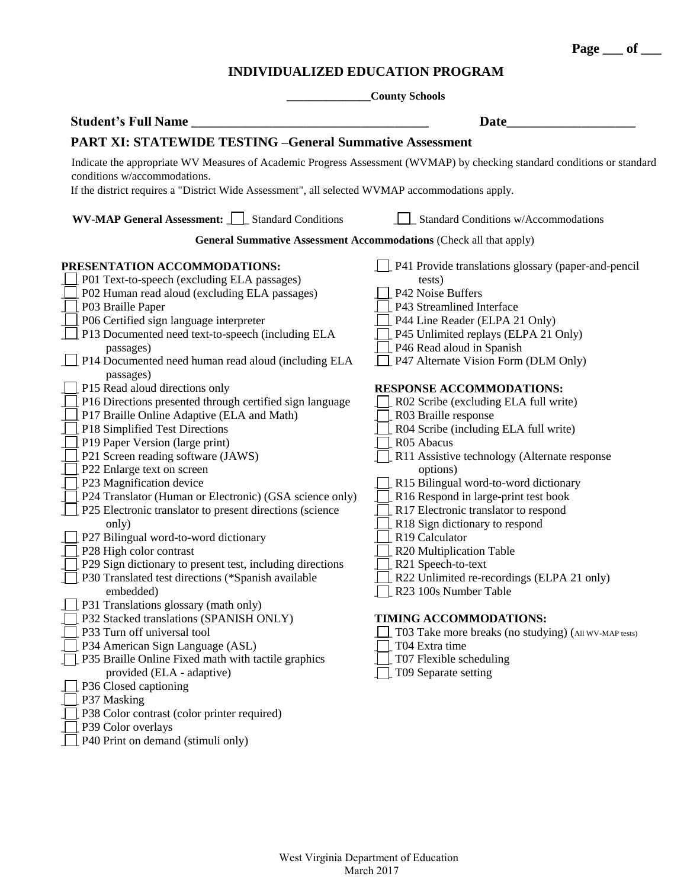**Page \_\_\_ of \_\_\_**

## **INDIVIDUALIZED EDUCATION PROGRAM**

| <b>County Schools</b>                                                                                                                                    |                                                               |  |  |  |  |
|----------------------------------------------------------------------------------------------------------------------------------------------------------|---------------------------------------------------------------|--|--|--|--|
| <b>Student's Full Name</b>                                                                                                                               | Date                                                          |  |  |  |  |
| <b>PART XI: STATEWIDE TESTING -General Summative Assessment</b>                                                                                          |                                                               |  |  |  |  |
| Indicate the appropriate WV Measures of Academic Progress Assessment (WVMAP) by checking standard conditions or standard<br>conditions w/accommodations. |                                                               |  |  |  |  |
| If the district requires a "District Wide Assessment", all selected WVMAP accommodations apply.                                                          |                                                               |  |  |  |  |
| <b>WV-MAP General Assessment:</b>     Standard Conditions                                                                                                | Standard Conditions w/Accommodations                          |  |  |  |  |
| <b>General Summative Assessment Accommodations (Check all that apply)</b>                                                                                |                                                               |  |  |  |  |
| PRESENTATION ACCOMMODATIONS:<br>P01 Text-to-speech (excluding ELA passages)                                                                              | P41 Provide translations glossary (paper-and-pencil<br>tests) |  |  |  |  |
| P02 Human read aloud (excluding ELA passages)                                                                                                            | P42 Noise Buffers                                             |  |  |  |  |
| P03 Braille Paper                                                                                                                                        | P43 Streamlined Interface                                     |  |  |  |  |
| P06 Certified sign language interpreter                                                                                                                  | P44 Line Reader (ELPA 21 Only)                                |  |  |  |  |
| P13 Documented need text-to-speech (including ELA                                                                                                        | P45 Unlimited replays (ELPA 21 Only)                          |  |  |  |  |
| passages)                                                                                                                                                | P46 Read aloud in Spanish                                     |  |  |  |  |
| P14 Documented need human read aloud (including ELA<br>passages)                                                                                         | P47 Alternate Vision Form (DLM Only)                          |  |  |  |  |
| P15 Read aloud directions only                                                                                                                           | <b>RESPONSE ACCOMMODATIONS:</b>                               |  |  |  |  |
| P16 Directions presented through certified sign language                                                                                                 | R02 Scribe (excluding ELA full write)                         |  |  |  |  |
| P17 Braille Online Adaptive (ELA and Math)<br>P18 Simplified Test Directions                                                                             | R03 Braille response<br>R04 Scribe (including ELA full write) |  |  |  |  |
| P19 Paper Version (large print)                                                                                                                          | R05 Abacus                                                    |  |  |  |  |
| P21 Screen reading software (JAWS)                                                                                                                       | R11 Assistive technology (Alternate response                  |  |  |  |  |
| P22 Enlarge text on screen                                                                                                                               | options)                                                      |  |  |  |  |
| P23 Magnification device                                                                                                                                 | R15 Bilingual word-to-word dictionary                         |  |  |  |  |
| P24 Translator (Human or Electronic) (GSA science only)                                                                                                  | R16 Respond in large-print test book                          |  |  |  |  |
| P25 Electronic translator to present directions (science                                                                                                 | R17 Electronic translator to respond                          |  |  |  |  |
| only)                                                                                                                                                    | R18 Sign dictionary to respond                                |  |  |  |  |
| P27 Bilingual word-to-word dictionary                                                                                                                    | R19 Calculator                                                |  |  |  |  |
| P28 High color contrast                                                                                                                                  | R20 Multiplication Table                                      |  |  |  |  |
| P29 Sign dictionary to present test, including directions                                                                                                | R21 Speech-to-text                                            |  |  |  |  |
| P30 Translated test directions (*Spanish available                                                                                                       | R22 Unlimited re-recordings (ELPA 21 only)                    |  |  |  |  |
| embedded)                                                                                                                                                | $\Box$ R23 100s Number Table                                  |  |  |  |  |
| P31 Translations glossary (math only)                                                                                                                    |                                                               |  |  |  |  |
| P32 Stacked translations (SPANISH ONLY)                                                                                                                  | TIMING ACCOMMODATIONS:                                        |  |  |  |  |
| P33 Turn off universal tool                                                                                                                              | T03 Take more breaks (no studying) (All WV-MAP tests)         |  |  |  |  |
| P34 American Sign Language (ASL)                                                                                                                         | T04 Extra time                                                |  |  |  |  |
| P35 Braille Online Fixed math with tactile graphics                                                                                                      | T07 Flexible scheduling                                       |  |  |  |  |
| provided (ELA - adaptive)                                                                                                                                | T09 Separate setting                                          |  |  |  |  |
| P36 Closed captioning                                                                                                                                    |                                                               |  |  |  |  |
| P37 Masking                                                                                                                                              |                                                               |  |  |  |  |
| P38 Color contrast (color printer required)                                                                                                              |                                                               |  |  |  |  |
| P39 Color overlays                                                                                                                                       |                                                               |  |  |  |  |

**P40 Print on demand (stimuli only)**